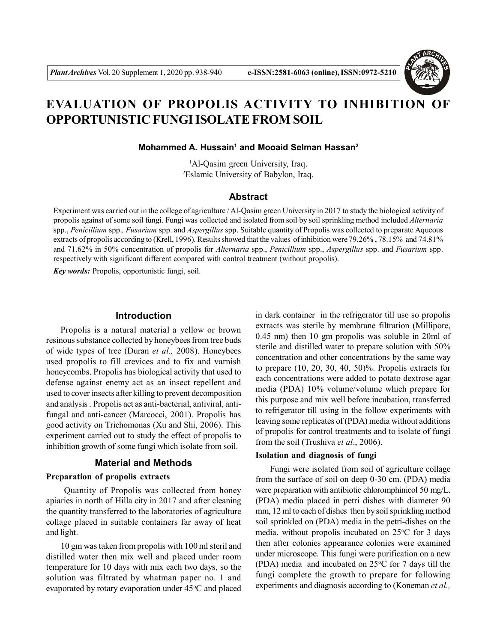

# **EVALUATION OF PROPOLIS ACTIVITY TO INHIBITION OF OPPORTUNISTIC FUNGI ISOLATE FROM SOIL**

**Mohammed A. Hussain<sup>1</sup> and Mooaid Selman Hassan<sup>2</sup>**

<sup>1</sup>Al-Qasim green University, Iraq. <sup>2</sup>Eslamic University of Babylon, Iraq.

# **Abstract**

Experiment was carried out in the college of agriculture / Al-Qasim green University in 2017 to study the biological activity of propolis against of some soil fungi. Fungi was collected and isolated from soil by soil sprinkling method included *Alternaria* spp., *Penicillium* spp.*, Fusarium* spp. and *Aspergillus* spp. Suitable quantity of Propolis was collected to preparate Aqueous extracts of propolis according to (Krell, 1996). Results showed that the values of inhibition were 79.26% , 78.15% and 74.81% and 71.62% in 50% concentration of propolis for *Alternaria* spp., *Penicillium* spp., *Aspergillus* spp. and *Fusarium* spp. respectively with significant different compared with control treatment (without propolis).

*Key words:* Propolis, opportunistic fungi, soil.

# **Introduction**

Propolis is a natural material a yellow or brown resinous substance collected by honeybees from tree buds of wide types of tree (Duran *et al.,* 2008). Honeybees used propolis to fill crevices and to fix and varnish honeycombs. Propolis has biological activity that used to defense against enemy act as an insect repellent and used to cover insects after killing to prevent decomposition and analysis . Propolis act as anti-bacterial, antiviral, antifungal and anti-cancer (Marcocci, 2001). Propolis has good activity on Trichomonas (Xu and Shi, 2006). This experiment carried out to study the effect of propolis to inhibition growth of some fungi which isolate from soil.

# **Material and Methods**

# **Preparation of propolis extracts**

 Quantity of Propolis was collected from honey apiaries in north of Hilla city in 2017 and after cleaning the quantity transferred to the laboratories of agriculture collage placed in suitable containers far away of heat and light.

10 gm was taken from propolis with 100 ml steril and distilled water then mix well and placed under room temperature for 10 days with mix each two days, so the solution was filtrated by whatman paper no. 1 and evaporated by rotary evaporation under  $45^{\circ}$ C and placed in dark container in the refrigerator till use so propolis extracts was sterile by membrane filtration (Millipore, 0.45 nm) then 10 gm propolis was soluble in 20ml of sterile and distilled water to prepare solution with 50% concentration and other concentrations by the same way to prepare (10, 20, 30, 40, 50)%. Propolis extracts for each concentrations were added to potato dextrose agar media (PDA) 10% volume/volume which prepare for this purpose and mix well before incubation, transferred to refrigerator till using in the follow experiments with leaving some replicates of (PDA) media without additions of propolis for control treatments and to isolate of fungi from the soil (Trushiva *et al*., 2006).

# **Isolation and diagnosis of fungi**

Fungi were isolated from soil of agriculture collage from the surface of soil on deep 0-30 cm. (PDA) media were preparation with antibiotic chloromphinicol 50 mg/L. (PDA) media placed in petri dishes with diameter 90 mm, 12 ml to each of dishes then by soil sprinkling method soil sprinkled on (PDA) media in the petri-dishes on the media, without propolis incubated on  $25^{\circ}$ C for 3 days then after colonies appearance colonies were examined under microscope. This fungi were purification on a new (PDA) media and incubated on  $25^{\circ}$ C for 7 days till the fungi complete the growth to prepare for following experiments and diagnosis according to (Koneman *et al.,*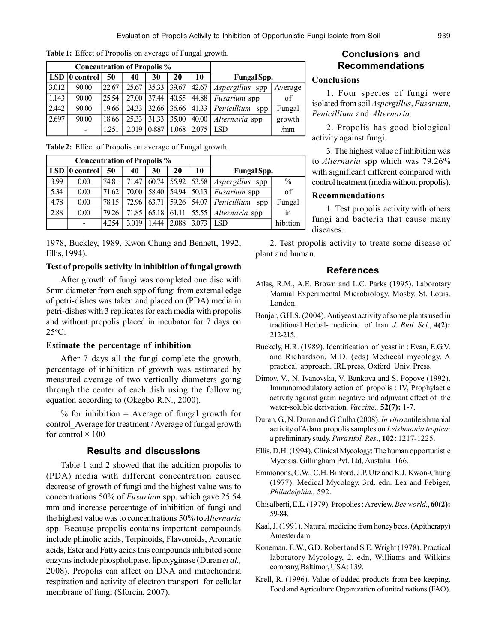| <b>Concentration of Propolis %</b> |           |       |       |                 |       |       |                                                |         |
|------------------------------------|-----------|-------|-------|-----------------|-------|-------|------------------------------------------------|---------|
| <b>LSD</b>                         | 0 control | 50    | 40    | 30              | 20    | 10    | <b>Fungal Spp.</b>                             |         |
| 3.012                              | 90.00     | 22.67 |       |                 |       |       | $25.67$ 35.33 39.67 42.67 Aspergillus spp      | Average |
| 1.143                              | 90.00     | 25.54 |       |                 |       |       | 27.00   37.44   40.55   44.88   Fusarium spp   | of      |
| 2.442                              | 90.00     | 19.66 |       |                 |       |       | 24.33 32.66 36.66 41.33 <i>Penicillium</i> spp | Fungal  |
| 2.697                              | 90.00     | 18.66 |       | $25.33$   31.33 | 35.00 | 40.00 | Alternaria spp                                 | growth  |
|                                    |           | 1.251 | 2.019 | $ 0-887$        | 1.068 | 2.075 | <b>ISD</b>                                     | /mm     |

**Table 1:** Effect of Propolis on average of Fungal growth.

|  |  | Table 2: Effect of Propolis on average of Fungal growth. |  |  |  |  |
|--|--|----------------------------------------------------------|--|--|--|--|
|--|--|----------------------------------------------------------|--|--|--|--|

|                                          | <b>Concentration of Propolis %</b> |       |       |       |       |                       |            |
|------------------------------------------|------------------------------------|-------|-------|-------|-------|-----------------------|------------|
| <b>Fungal Spp.</b>                       |                                    | 20    | 30    | 40    | 50    | $ 0 \text{ control} $ | <b>LSD</b> |
| $\frac{0}{0}$<br><i>Aspergillus</i> spp  | $60.74$ 55.92 53.58                |       |       | 71.47 | 74.81 | 0.00                  | 3.99       |
| of<br><i>Fusarium</i> spp                | 50.13                              | 54.94 | 58.40 | 70.00 | 71.62 | 0.00                  | 5.34       |
| Fungal<br>54.07   <i>Penicillium</i> spp |                                    | 59.26 | 63.71 | 72.96 | 78.15 | 0.00                  | 4.78       |
| 55.55   Alternaria spp<br>1n             |                                    | 61.11 | 65.18 | 71.85 | 79.26 | 0.00                  | 2.88       |
| hibition<br><b>ISD</b>                   | 3.073                              | 2.088 | 1.444 | 3.019 | 4.254 |                       |            |

1978, Buckley, 1989, Kwon Chung and Bennett, 1992, Ellis, 1994).

## **Test of propolis activity in inhibition of fungal growth**

After growth of fungi was completed one disc with 5mm diameter from each spp of fungi from external edge of petri-dishes was taken and placed on (PDA) media in petri-dishes with 3 replicates for each media with propolis and without propolis placed in incubator for 7 days on 25C.

#### **Estimate the percentage of inhibition**

After 7 days all the fungi complete the growth, percentage of inhibition of growth was estimated by measured average of two vertically diameters going through the center of each dish using the following equation according to (Okegbo R.N., 2000).

% for inhibition **=** Average of fungal growth for control Average for treatment / Average of fungal growth for control  $\times$  100

# **Results and discussions**

Table 1 and 2 showed that the addition propolis to (PDA) media with different concentration caused decrease of growth of fungi and the highest value was to concentrations 50% of *Fusarium* spp. which gave 25.54 mm and increase percentage of inhibition of fungi and the highest value was to concentrations 50% to *Alternaria* spp. Because propolis contains important compounds include phinolic acids, Terpinoids, Flavonoids, Aromatic acids, Ester and Fatty acids this compounds inhibited some enzyms include phospholipase, lipoxyginase (Duran *et al.,* 2008). Propolis can affect on DNA and mitochondria respiration and activity of electron transport for cellular membrane of fungi (Sforcin, 2007).

# **Conclusions and Recommendations**

# **Conclusions**

1. Four species of fungi were isolated from soil *Aspergillus*, *Fusarium*, *Penicillium* and *Alternaria*.

2. Propolis has good biological activity against fungi.

3. The highest value of inhibition was to *Alternaria* spp which was 79.26% with significant different compared with control treatment (media without propolis).

## **Recommendations**

1. Test propolis activity with others fungi and bacteria that cause many diseases.

2. Test propolis activity to treate some disease of plant and human.

## **References**

- Atlas, R.M., A.E. Brown and L.C. Parks (1995). Laborotary Manual Experimental Microbiology. Mosby. St. Louis. London.
- Bonjar, G.H.S. (2004). Antiyeast activity of some plants used in traditional Herbal- medicine of Iran. *J. Biol. Sci*., **4(2):** 212-215.
- Buckely, H.R. (1989). Identification of yeast in : Evan, E.G.V. and Richardson, M.D. (eds) Mediccal mycology. A practical approach. IRL press, Oxford Univ. Press.
- Dimov, V., N. Ivanovska, V. Bankova and S. Popove (1992). Immunomodulatory action of propolis : IV, Prophylactic activity against gram negative and adjuvant effect of the water-soluble derivation. *Vaccine.,* **52(7):** 1-7.
- Duran, G., N. Duran and G. Culha (2008). *In vitro* antileishmanial activity of Adana propolis samples on *Leishmania tropica*: a preliminary study. *Parasitol. Res*., **102:** 1217-1225.
- Ellis. D.H. (1994). Clinical Mycology: The human opportunistic Mycosis. Gillingham Pvt. Ltd, Austalia: 166.
- Emmonons, C.W., C.H. Binford, J.P. Utz and K.J. Kwon-Chung (1977). Medical Mycology, 3rd. edn. Lea and Febiger, *Philadelphia.,* 592.
- Ghisalberti, E.L. (1979). Propolies : A review. *Bee world*., **60(2):** 59-84.
- Kaal, J. (1991). Natural medicine from honey bees. (Apitherapy) Amesterdam.
- Koneman, E.W., G.D. Robert and S.E. Wright (1978). Practical laboratory Mycology, 2. edn, Williams and Wilkins company, Baltimor, USA: 139.
- Krell, R. (1996). Value of added products from bee-keeping. Food and Agriculture Organization of united nations (FAO).